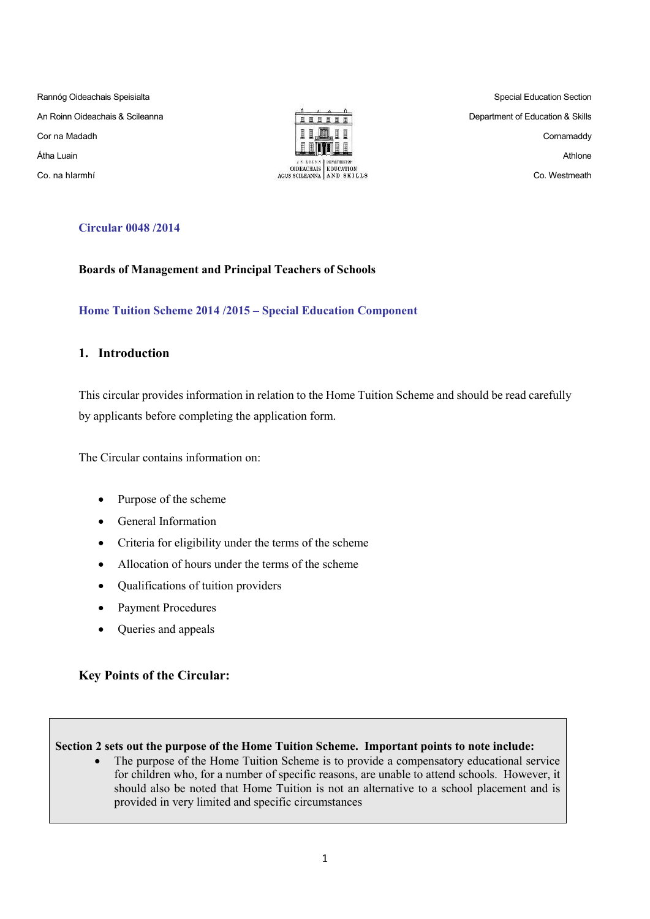Rannóg Oideachais Speisialta An Roinn Oideachais & Scileanna Cor na Madadh Átha Luain Co. na hIarmhí



Special Education Section Department of Education & Skills Cornamaddy Athlone Co. Westmeath

## **Circular 0048 /2014**

#### **Boards of Management and Principal Teachers of Schools**

## **Home Tuition Scheme 2014 /2015 – Special Education Component**

## **1. Introduction**

This circular provides information in relation to the Home Tuition Scheme and should be read carefully by applicants before completing the application form.

The Circular contains information on:

- Purpose of the scheme
- General Information
- Criteria for eligibility under the terms of the scheme
- Allocation of hours under the terms of the scheme
- Qualifications of tuition providers
- Payment Procedures
- Queries and appeals

## **Key Points of the Circular:**

#### **Section 2 sets out the purpose of the Home Tuition Scheme. Important points to note include:**

• The purpose of the Home Tuition Scheme is to provide a compensatory educational service for children who, for a number of specific reasons, are unable to attend schools. However, it should also be noted that Home Tuition is not an alternative to a school placement and is provided in very limited and specific circumstances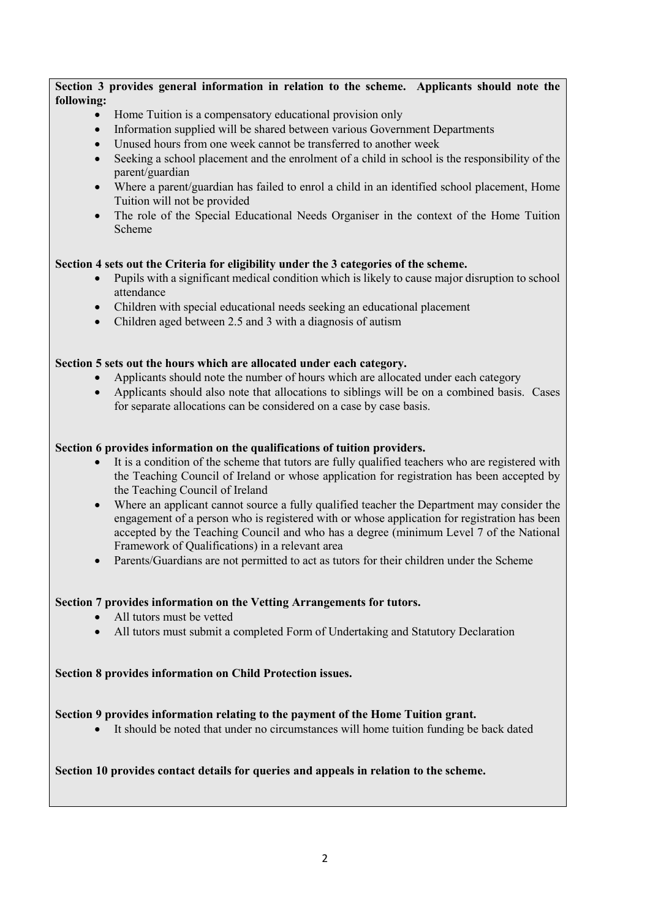## **Section 3 provides general information in relation to the scheme. Applicants should note the following:**

- Home Tuition is a compensatory educational provision only
- Information supplied will be shared between various Government Departments
- Unused hours from one week cannot be transferred to another week
- Seeking a school placement and the enrolment of a child in school is the responsibility of the parent/guardian
- Where a parent/guardian has failed to enrol a child in an identified school placement, Home Tuition will not be provided
- The role of the Special Educational Needs Organiser in the context of the Home Tuition Scheme

## **Section 4 sets out the Criteria for eligibility under the 3 categories of the scheme.**

- Pupils with a significant medical condition which is likely to cause major disruption to school attendance
- Children with special educational needs seeking an educational placement
- Children aged between 2.5 and 3 with a diagnosis of autism

## **Section 5 sets out the hours which are allocated under each category.**

- Applicants should note the number of hours which are allocated under each category
- Applicants should also note that allocations to siblings will be on a combined basis. Cases for separate allocations can be considered on a case by case basis.

## **Section 6 provides information on the qualifications of tuition providers.**

- It is a condition of the scheme that tutors are fully qualified teachers who are registered with the Teaching Council of Ireland or whose application for registration has been accepted by the Teaching Council of Ireland
- Where an applicant cannot source a fully qualified teacher the Department may consider the engagement of a person who is registered with or whose application for registration has been accepted by the Teaching Council and who has a degree (minimum Level 7 of the National Framework of Qualifications) in a relevant area
- Parents/Guardians are not permitted to act as tutors for their children under the Scheme

#### **Section 7 provides information on the Vetting Arrangements for tutors.**

- All tutors must be vetted
- All tutors must submit a completed Form of Undertaking and Statutory Declaration

#### **Section 8 provides information on Child Protection issues.**

## **Section 9 provides information relating to the payment of the Home Tuition grant.**

It should be noted that under no circumstances will home tuition funding be back dated

## **Section 10 provides contact details for queries and appeals in relation to the scheme.**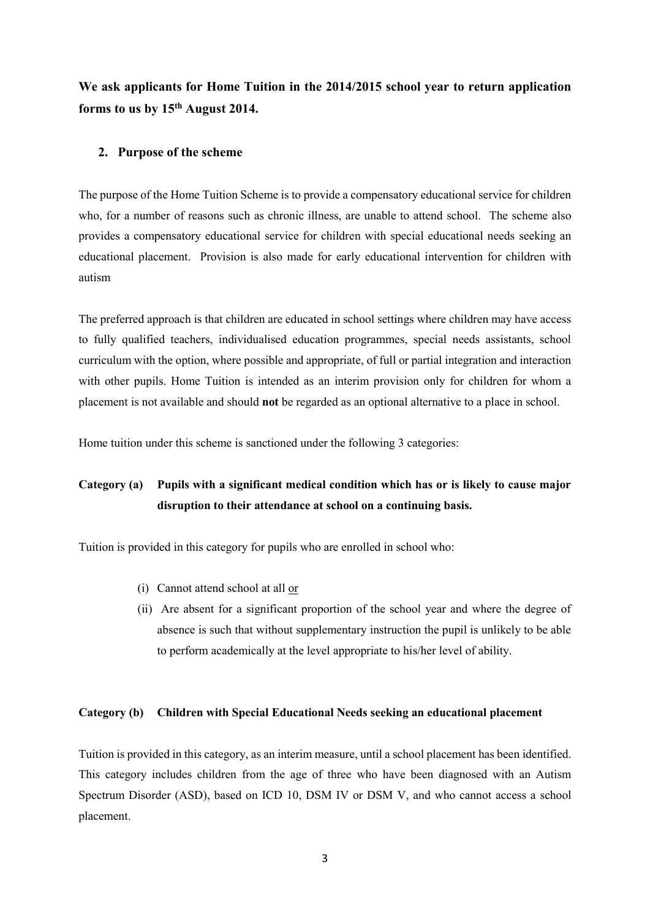**We ask applicants for Home Tuition in the 2014/2015 school year to return application forms to us by 15th August 2014.**

### **2. Purpose of the scheme**

The purpose of the Home Tuition Scheme is to provide a compensatory educational service for children who, for a number of reasons such as chronic illness, are unable to attend school. The scheme also provides a compensatory educational service for children with special educational needs seeking an educational placement. Provision is also made for early educational intervention for children with autism

The preferred approach is that children are educated in school settings where children may have access to fully qualified teachers, individualised education programmes, special needs assistants, school curriculum with the option, where possible and appropriate, of full or partial integration and interaction with other pupils. Home Tuition is intended as an interim provision only for children for whom a placement is not available and should **not** be regarded as an optional alternative to a place in school.

Home tuition under this scheme is sanctioned under the following 3 categories:

# **Category (a) Pupils with a significant medical condition which has or is likely to cause major disruption to their attendance at school on a continuing basis.**

Tuition is provided in this category for pupils who are enrolled in school who:

- (i) Cannot attend school at all or
- (ii) Are absent for a significant proportion of the school year and where the degree of absence is such that without supplementary instruction the pupil is unlikely to be able to perform academically at the level appropriate to his/her level of ability.

#### **Category (b) Children with Special Educational Needs seeking an educational placement**

Tuition is provided in this category, as an interim measure, until a school placement has been identified. This category includes children from the age of three who have been diagnosed with an Autism Spectrum Disorder (ASD), based on ICD 10, DSM IV or DSM V, and who cannot access a school placement.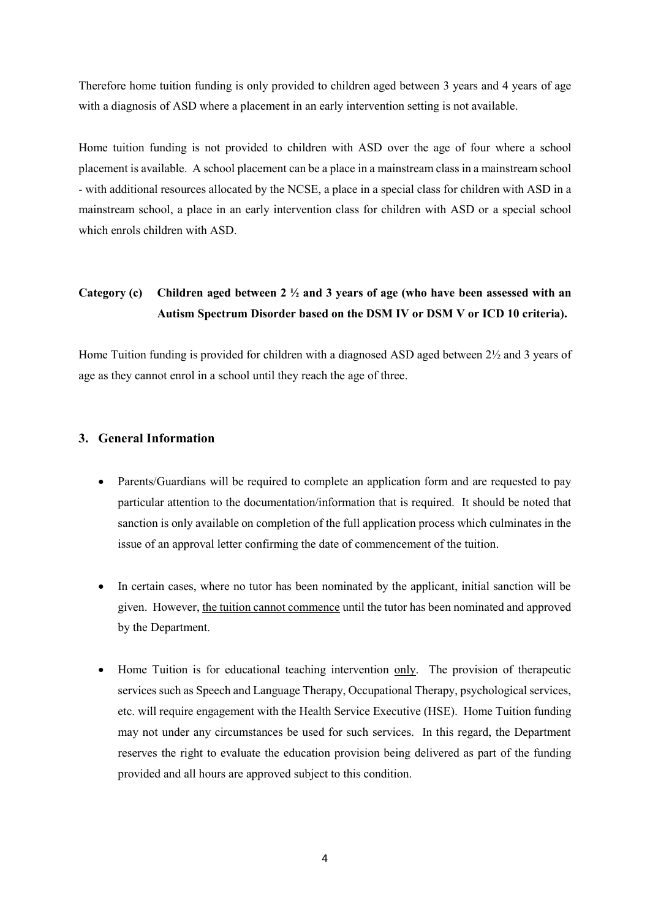Therefore home tuition funding is only provided to children aged between 3 years and 4 years of age with a diagnosis of ASD where a placement in an early intervention setting is not available.

Home tuition funding is not provided to children with ASD over the age of four where a school placement is available. A school placement can be a place in a mainstream class in a mainstream school - with additional resources allocated by the NCSE, a place in a special class for children with ASD in a mainstream school, a place in an early intervention class for children with ASD or a special school which enrols children with ASD.

# **Category (c) Children aged between 2 ½ and 3 years of age (who have been assessed with an Autism Spectrum Disorder based on the DSM IV or DSM V or ICD 10 criteria).**

Home Tuition funding is provided for children with a diagnosed ASD aged between 2½ and 3 years of age as they cannot enrol in a school until they reach the age of three.

#### **3. General Information**

- Parents/Guardians will be required to complete an application form and are requested to pay particular attention to the documentation/information that is required. It should be noted that sanction is only available on completion of the full application process which culminates in the issue of an approval letter confirming the date of commencement of the tuition.
- In certain cases, where no tutor has been nominated by the applicant, initial sanction will be given. However, the tuition cannot commence until the tutor has been nominated and approved by the Department.
- Home Tuition is for educational teaching intervention only. The provision of therapeutic services such as Speech and Language Therapy, Occupational Therapy, psychological services, etc. will require engagement with the Health Service Executive (HSE). Home Tuition funding may not under any circumstances be used for such services. In this regard, the Department reserves the right to evaluate the education provision being delivered as part of the funding provided and all hours are approved subject to this condition.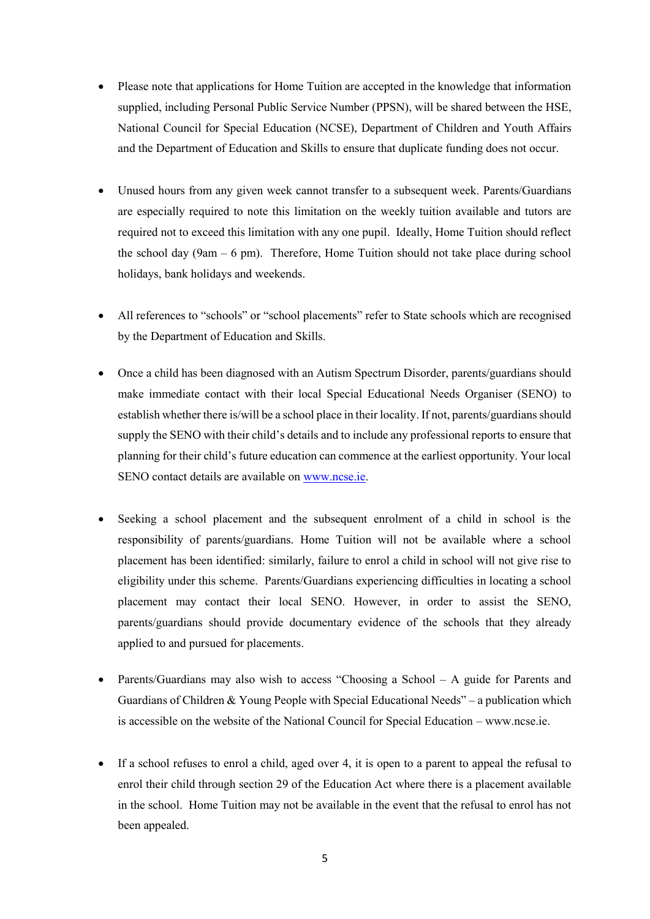- Please note that applications for Home Tuition are accepted in the knowledge that information supplied, including Personal Public Service Number (PPSN), will be shared between the HSE, National Council for Special Education (NCSE), Department of Children and Youth Affairs and the Department of Education and Skills to ensure that duplicate funding does not occur.
- Unused hours from any given week cannot transfer to a subsequent week. Parents/Guardians are especially required to note this limitation on the weekly tuition available and tutors are required not to exceed this limitation with any one pupil. Ideally, Home Tuition should reflect the school day (9am  $-$  6 pm). Therefore, Home Tuition should not take place during school holidays, bank holidays and weekends.
- All references to "schools" or "school placements" refer to State schools which are recognised by the Department of Education and Skills.
- Once a child has been diagnosed with an Autism Spectrum Disorder, parents/guardians should make immediate contact with their local Special Educational Needs Organiser (SENO) to establish whether there is/will be a school place in their locality. If not, parents/guardians should supply the SENO with their child's details and to include any professional reports to ensure that planning for their child's future education can commence at the earliest opportunity. Your local SENO contact details are available on [www.ncse.ie.](http://www.ncse.ie/)
- Seeking a school placement and the subsequent enrolment of a child in school is the responsibility of parents/guardians. Home Tuition will not be available where a school placement has been identified: similarly, failure to enrol a child in school will not give rise to eligibility under this scheme. Parents/Guardians experiencing difficulties in locating a school placement may contact their local SENO. However, in order to assist the SENO, parents/guardians should provide documentary evidence of the schools that they already applied to and pursued for placements.
- Parents/Guardians may also wish to access "Choosing a School A guide for Parents and Guardians of Children  $&$  Young People with Special Educational Needs" – a publication which is accessible on the website of the National Council for Special Education – www.ncse.ie.
- If a school refuses to enrol a child, aged over 4, it is open to a parent to appeal the refusal to enrol their child through section 29 of the Education Act where there is a placement available in the school. Home Tuition may not be available in the event that the refusal to enrol has not been appealed.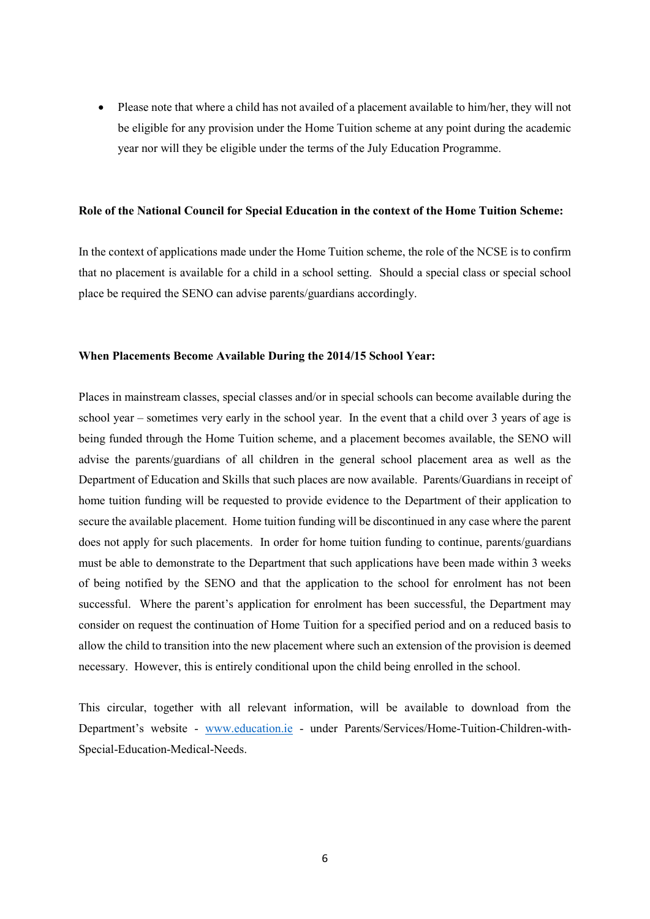Please note that where a child has not availed of a placement available to him/her, they will not be eligible for any provision under the Home Tuition scheme at any point during the academic year nor will they be eligible under the terms of the July Education Programme.

#### **Role of the National Council for Special Education in the context of the Home Tuition Scheme:**

In the context of applications made under the Home Tuition scheme, the role of the NCSE is to confirm that no placement is available for a child in a school setting. Should a special class or special school place be required the SENO can advise parents/guardians accordingly.

#### **When Placements Become Available During the 2014/15 School Year:**

Places in mainstream classes, special classes and/or in special schools can become available during the school year – sometimes very early in the school year. In the event that a child over 3 years of age is being funded through the Home Tuition scheme, and a placement becomes available, the SENO will advise the parents/guardians of all children in the general school placement area as well as the Department of Education and Skills that such places are now available. Parents/Guardians in receipt of home tuition funding will be requested to provide evidence to the Department of their application to secure the available placement. Home tuition funding will be discontinued in any case where the parent does not apply for such placements. In order for home tuition funding to continue, parents/guardians must be able to demonstrate to the Department that such applications have been made within 3 weeks of being notified by the SENO and that the application to the school for enrolment has not been successful. Where the parent's application for enrolment has been successful, the Department may consider on request the continuation of Home Tuition for a specified period and on a reduced basis to allow the child to transition into the new placement where such an extension of the provision is deemed necessary. However, this is entirely conditional upon the child being enrolled in the school.

This circular, together with all relevant information, will be available to download from the Department's website - [www.education.ie](http://www.education.ie/) - under Parents/Services/Home-Tuition-Children-with-Special-Education-Medical-Needs.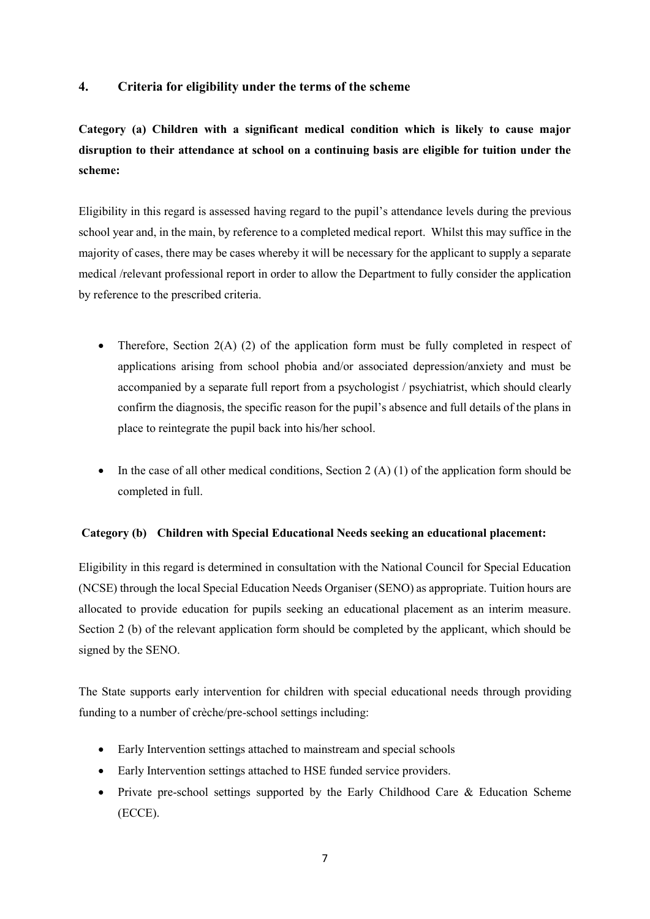## **4. Criteria for eligibility under the terms of the scheme**

**Category (a) Children with a significant medical condition which is likely to cause major disruption to their attendance at school on a continuing basis are eligible for tuition under the scheme:** 

Eligibility in this regard is assessed having regard to the pupil's attendance levels during the previous school year and, in the main, by reference to a completed medical report. Whilst this may suffice in the majority of cases, there may be cases whereby it will be necessary for the applicant to supply a separate medical /relevant professional report in order to allow the Department to fully consider the application by reference to the prescribed criteria.

- Therefore, Section 2(A) (2) of the application form must be fully completed in respect of applications arising from school phobia and/or associated depression/anxiety and must be accompanied by a separate full report from a psychologist / psychiatrist, which should clearly confirm the diagnosis, the specific reason for the pupil's absence and full details of the plans in place to reintegrate the pupil back into his/her school.
- In the case of all other medical conditions, Section 2  $(A)$  (1) of the application form should be completed in full.

## **Category (b) Children with Special Educational Needs seeking an educational placement:**

Eligibility in this regard is determined in consultation with the National Council for Special Education (NCSE) through the local Special Education Needs Organiser (SENO) as appropriate. Tuition hours are allocated to provide education for pupils seeking an educational placement as an interim measure. Section 2 (b) of the relevant application form should be completed by the applicant, which should be signed by the SENO.

The State supports early intervention for children with special educational needs through providing funding to a number of crèche/pre-school settings including:

- Early Intervention settings attached to mainstream and special schools
- Early Intervention settings attached to HSE funded service providers.
- Private pre-school settings supported by the Early Childhood Care & Education Scheme (ECCE).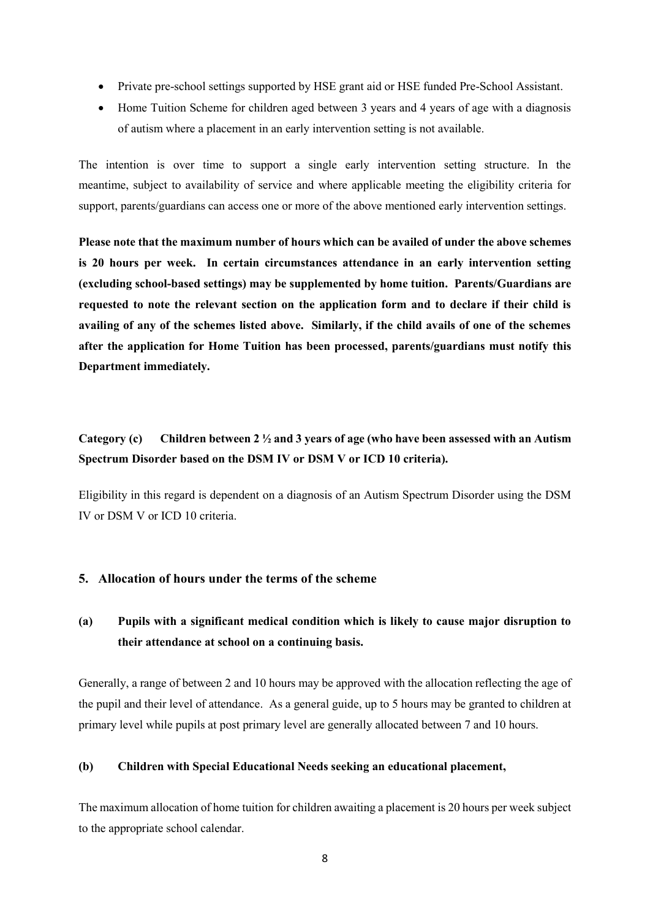- Private pre-school settings supported by HSE grant aid or HSE funded Pre-School Assistant.
- Home Tuition Scheme for children aged between 3 years and 4 years of age with a diagnosis of autism where a placement in an early intervention setting is not available.

The intention is over time to support a single early intervention setting structure. In the meantime, subject to availability of service and where applicable meeting the eligibility criteria for support, parents/guardians can access one or more of the above mentioned early intervention settings.

**Please note that the maximum number of hours which can be availed of under the above schemes is 20 hours per week. In certain circumstances attendance in an early intervention setting (excluding school-based settings) may be supplemented by home tuition. Parents/Guardians are requested to note the relevant section on the application form and to declare if their child is availing of any of the schemes listed above. Similarly, if the child avails of one of the schemes after the application for Home Tuition has been processed, parents/guardians must notify this Department immediately.**

# **Category (c) Children between 2 ½ and 3 years of age (who have been assessed with an Autism Spectrum Disorder based on the DSM IV or DSM V or ICD 10 criteria).**

Eligibility in this regard is dependent on a diagnosis of an Autism Spectrum Disorder using the DSM IV or DSM V or ICD 10 criteria.

## **5. Allocation of hours under the terms of the scheme**

# **(a) Pupils with a significant medical condition which is likely to cause major disruption to their attendance at school on a continuing basis.**

Generally, a range of between 2 and 10 hours may be approved with the allocation reflecting the age of the pupil and their level of attendance. As a general guide, up to 5 hours may be granted to children at primary level while pupils at post primary level are generally allocated between 7 and 10 hours.

#### **(b) Children with Special Educational Needs seeking an educational placement,**

The maximum allocation of home tuition for children awaiting a placement is 20 hours per week subject to the appropriate school calendar.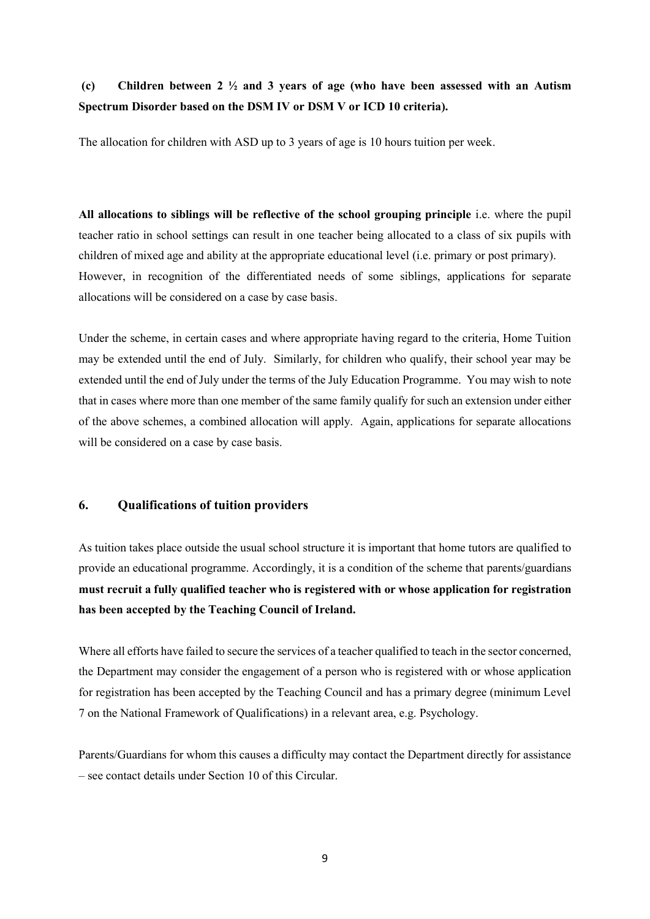## **(c) Children between 2 ½ and 3 years of age (who have been assessed with an Autism Spectrum Disorder based on the DSM IV or DSM V or ICD 10 criteria).**

The allocation for children with ASD up to 3 years of age is 10 hours tuition per week.

**All allocations to siblings will be reflective of the school grouping principle** i.e. where the pupil teacher ratio in school settings can result in one teacher being allocated to a class of six pupils with children of mixed age and ability at the appropriate educational level (i.e. primary or post primary). However, in recognition of the differentiated needs of some siblings, applications for separate allocations will be considered on a case by case basis.

Under the scheme, in certain cases and where appropriate having regard to the criteria, Home Tuition may be extended until the end of July. Similarly, for children who qualify, their school year may be extended until the end of July under the terms of the July Education Programme. You may wish to note that in cases where more than one member of the same family qualify for such an extension under either of the above schemes, a combined allocation will apply. Again, applications for separate allocations will be considered on a case by case basis.

#### **6. Qualifications of tuition providers**

As tuition takes place outside the usual school structure it is important that home tutors are qualified to provide an educational programme. Accordingly, it is a condition of the scheme that parents/guardians **must recruit a fully qualified teacher who is registered with or whose application for registration has been accepted by the Teaching Council of Ireland.**

Where all efforts have failed to secure the services of a teacher qualified to teach in the sector concerned, the Department may consider the engagement of a person who is registered with or whose application for registration has been accepted by the Teaching Council and has a primary degree (minimum Level 7 on the National Framework of Qualifications) in a relevant area, e.g. Psychology.

Parents/Guardians for whom this causes a difficulty may contact the Department directly for assistance – see contact details under Section 10 of this Circular.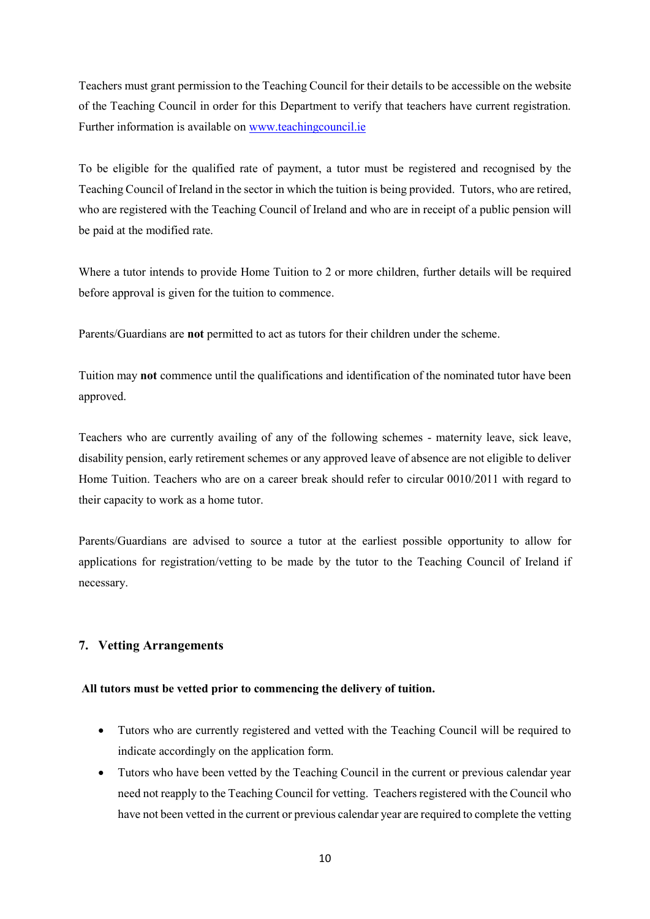Teachers must grant permission to the Teaching Council for their details to be accessible on the website of the Teaching Council in order for this Department to verify that teachers have current registration. Further information is available on [www.teachingcouncil.ie](http://www.teachingcouncil.ie/)

To be eligible for the qualified rate of payment, a tutor must be registered and recognised by the Teaching Council of Ireland in the sector in which the tuition is being provided. Tutors, who are retired, who are registered with the Teaching Council of Ireland and who are in receipt of a public pension will be paid at the modified rate.

Where a tutor intends to provide Home Tuition to 2 or more children, further details will be required before approval is given for the tuition to commence.

Parents/Guardians are **not** permitted to act as tutors for their children under the scheme.

Tuition may **not** commence until the qualifications and identification of the nominated tutor have been approved.

Teachers who are currently availing of any of the following schemes - maternity leave, sick leave, disability pension, early retirement schemes or any approved leave of absence are not eligible to deliver Home Tuition. Teachers who are on a career break should refer to circular 0010/2011 with regard to their capacity to work as a home tutor.

Parents/Guardians are advised to source a tutor at the earliest possible opportunity to allow for applications for registration/vetting to be made by the tutor to the Teaching Council of Ireland if necessary.

## **7. Vetting Arrangements**

#### **All tutors must be vetted prior to commencing the delivery of tuition.**

- Tutors who are currently registered and vetted with the Teaching Council will be required to indicate accordingly on the application form.
- Tutors who have been vetted by the Teaching Council in the current or previous calendar year need not reapply to the Teaching Council for vetting. Teachers registered with the Council who have not been vetted in the current or previous calendar year are required to complete the vetting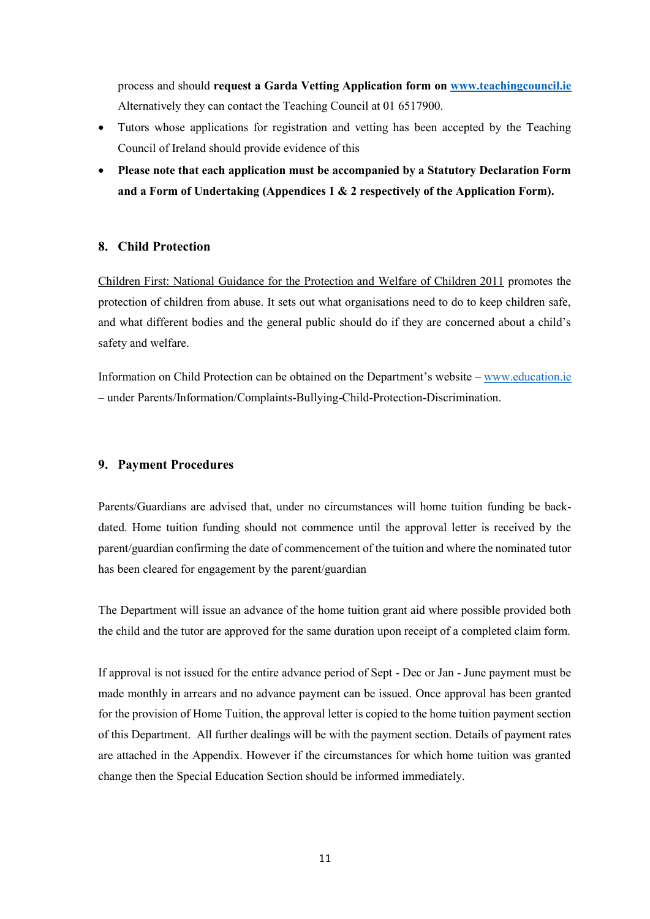process and should **request a Garda Vetting Application form on [www.teachingcouncil.ie](http://www.teachingcouncil.ie/)** Alternatively they can contact the Teaching Council at 01 6517900.

- Tutors whose applications for registration and vetting has been accepted by the Teaching Council of Ireland should provide evidence of this
- **Please note that each application must be accompanied by a Statutory Declaration Form and a Form of Undertaking (Appendices 1 & 2 respectively of the Application Form).**

## **8. Child Protection**

[Children First: National Guidance for the Protection and Welfare of Children 2011](http://www.dcya.gov.ie/documents/child_welfare_protection/ChildrenFirst.pdf) promotes the protection of children from abuse. It sets out what organisations need to do to keep children safe, and what different bodies and the general public should do if they are concerned about a child's safety and welfare.

Information on Child Protection can be obtained on the Department's website – [www.education.ie](http://www.education.ie/) – under Parents/Information/Complaints-Bullying-Child-Protection-Discrimination.

## **9. Payment Procedures**

Parents/Guardians are advised that, under no circumstances will home tuition funding be backdated. Home tuition funding should not commence until the approval letter is received by the parent/guardian confirming the date of commencement of the tuition and where the nominated tutor has been cleared for engagement by the parent/guardian

The Department will issue an advance of the home tuition grant aid where possible provided both the child and the tutor are approved for the same duration upon receipt of a completed claim form.

If approval is not issued for the entire advance period of Sept - Dec or Jan - June payment must be made monthly in arrears and no advance payment can be issued. Once approval has been granted for the provision of Home Tuition, the approval letter is copied to the home tuition payment section of this Department. All further dealings will be with the payment section. Details of payment rates are attached in the Appendix. However if the circumstances for which home tuition was granted change then the Special Education Section should be informed immediately.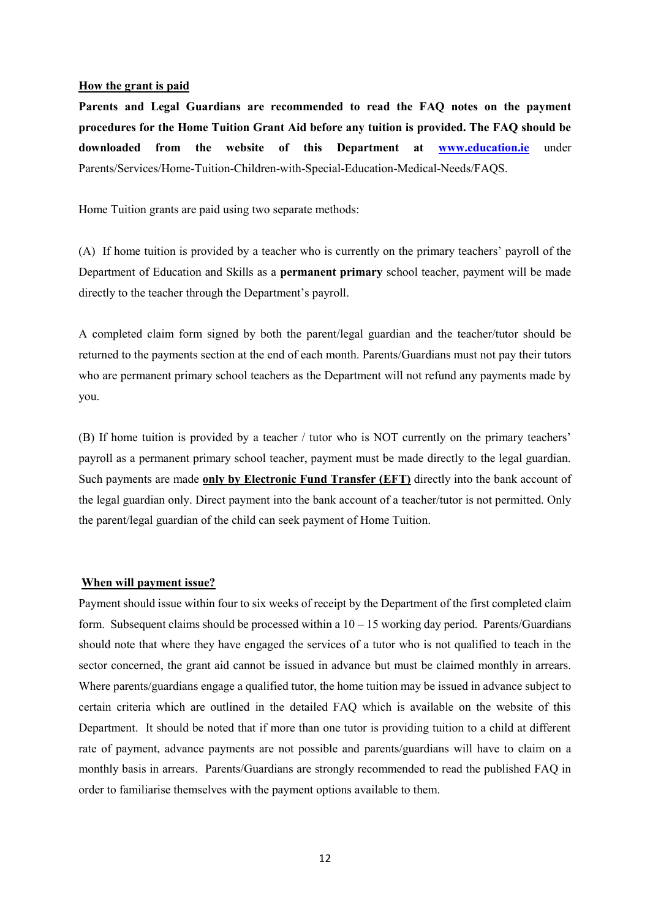#### **How the grant is paid**

**Parents and Legal Guardians are recommended to read the FAQ notes on the payment procedures for the Home Tuition Grant Aid before any tuition is provided. The FAQ should be downloaded from the website of this Department at [www.education.ie](http://www.education.ie/)** under Parents/Services/Home-Tuition-Children-with-Special-Education-Medical-Needs/FAQS.

Home Tuition grants are paid using two separate methods:

(A) If home tuition is provided by a teacher who is currently on the primary teachers' payroll of the Department of Education and Skills as a **permanent primary** school teacher, payment will be made directly to the teacher through the Department's payroll.

A completed claim form signed by both the parent/legal guardian and the teacher/tutor should be returned to the payments section at the end of each month. Parents/Guardians must not pay their tutors who are permanent primary school teachers as the Department will not refund any payments made by you.

(B) If home tuition is provided by a teacher / tutor who is NOT currently on the primary teachers' payroll as a permanent primary school teacher, payment must be made directly to the legal guardian. Such payments are made **only by Electronic Fund Transfer (EFT)** directly into the bank account of the legal guardian only. Direct payment into the bank account of a teacher/tutor is not permitted. Only the parent/legal guardian of the child can seek payment of Home Tuition.

#### **When will payment issue?**

Payment should issue within four to six weeks of receipt by the Department of the first completed claim form. Subsequent claims should be processed within a  $10 - 15$  working day period. Parents/Guardians should note that where they have engaged the services of a tutor who is not qualified to teach in the sector concerned, the grant aid cannot be issued in advance but must be claimed monthly in arrears. Where parents/guardians engage a qualified tutor, the home tuition may be issued in advance subject to certain criteria which are outlined in the detailed FAQ which is available on the website of this Department. It should be noted that if more than one tutor is providing tuition to a child at different rate of payment, advance payments are not possible and parents/guardians will have to claim on a monthly basis in arrears. Parents/Guardians are strongly recommended to read the published FAQ in order to familiarise themselves with the payment options available to them.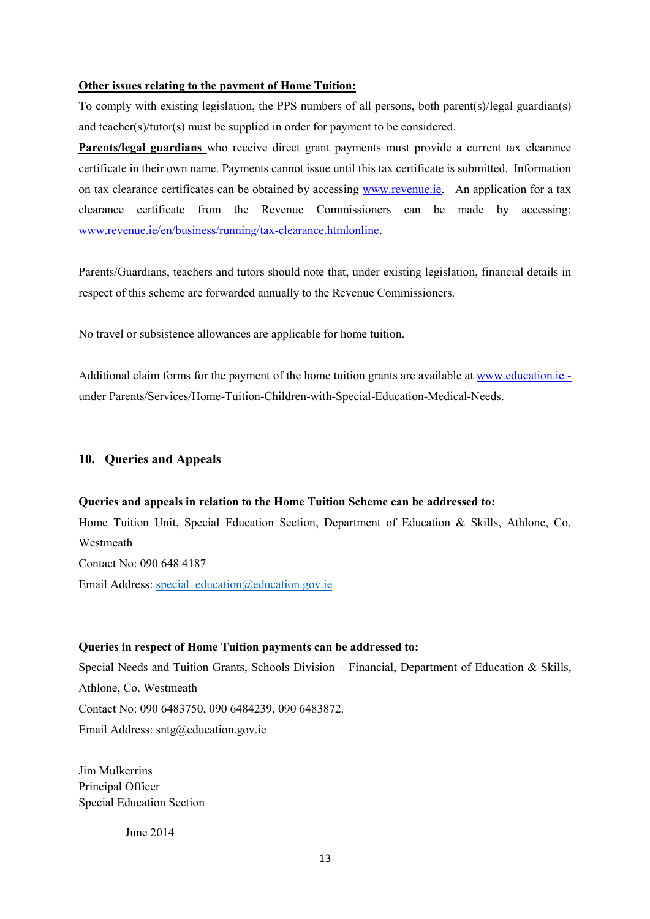#### **Other issues relating to the payment of Home Tuition:**

To comply with existing legislation, the PPS numbers of all persons, both parent(s)/legal guardian(s) and teacher(s)/tutor(s) must be supplied in order for payment to be considered.

**Parents/legal guardians** who receive direct grant payments must provide a current tax clearance certificate in their own name. Payments cannot issue until this tax certificate is submitted. Information on tax clearance certificates can be obtained by accessing [www.revenue.ie.](http://www.revenue.ie/) An application for a tax clearance certificate from the Revenue Commissioners can be made by accessing: [www.revenue.ie/en/business/running/tax-clearance.htmlonline.](http://www.revenue.ie/en/business/running/tax-clearance.htmlonline)

Parents/Guardians, teachers and tutors should note that, under existing legislation, financial details in respect of this scheme are forwarded annually to the Revenue Commissioners.

No travel or subsistence allowances are applicable for home tuition.

Additional claim forms for the payment of the home tuition grants are available at [www.education.ie](http://www.education.ie/) under Parents/Services/Home-Tuition-Children-with-Special-Education-Medical-Needs.

## **10. Queries and Appeals**

#### **Queries and appeals in relation to the Home Tuition Scheme can be addressed to:**

Home Tuition Unit, Special Education Section, Department of Education & Skills, Athlone, Co. Westmeath Contact No: 090 648 4187 Email Address: special education@education.gov.ie

#### **Queries in respect of Home Tuition payments can be addressed to:**

Special Needs and Tuition Grants, Schools Division – Financial, Department of Education & Skills, Athlone, Co. Westmeath Contact No: 090 6483750, 090 6484239, 090 6483872. Email Address: [sntg@education.gov.ie](mailto:sntg@education.gov.ie)

Jim Mulkerrins Principal Officer Special Education Section

June 2014